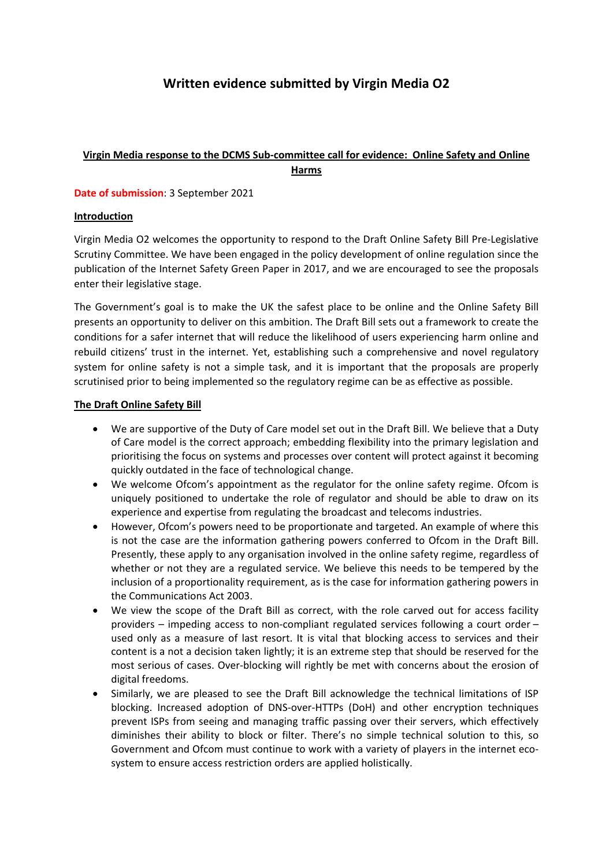# **Written evidence submitted by Virgin Media O2**

## **Virgin Media response to the DCMS Sub-committee call for evidence: Online Safety and Online Harms**

**Date of submission**: 3 September 2021

#### **Introduction**

Virgin Media O2 welcomes the opportunity to respond to the Draft Online Safety Bill Pre-Legislative Scrutiny Committee. We have been engaged in the policy development of online regulation since the publication of the Internet Safety Green Paper in 2017, and we are encouraged to see the proposals enter their legislative stage.

The Government's goal is to make the UK the safest place to be online and the Online Safety Bill presents an opportunity to deliver on this ambition. The Draft Bill sets out a framework to create the conditions for a safer internet that will reduce the likelihood of users experiencing harm online and rebuild citizens' trust in the internet. Yet, establishing such a comprehensive and novel regulatory system for online safety is not a simple task, and it is important that the proposals are properly scrutinised prior to being implemented so the regulatory regime can be as effective as possible.

#### **The Draft Online Safety Bill**

- We are supportive of the Duty of Care model set out in the Draft Bill. We believe that a Duty of Care model is the correct approach; embedding flexibility into the primary legislation and prioritising the focus on systems and processes over content will protect against it becoming quickly outdated in the face of technological change.
- We welcome Ofcom's appointment as the regulator for the online safety regime. Ofcom is uniquely positioned to undertake the role of regulator and should be able to draw on its experience and expertise from regulating the broadcast and telecoms industries.
- However, Ofcom's powers need to be proportionate and targeted. An example of where this is not the case are the information gathering powers conferred to Ofcom in the Draft Bill. Presently, these apply to any organisation involved in the online safety regime, regardless of whether or not they are a regulated service. We believe this needs to be tempered by the inclusion of a proportionality requirement, as is the case for information gathering powers in the Communications Act 2003.
- We view the scope of the Draft Bill as correct, with the role carved out for access facility providers – impeding access to non-compliant regulated services following a court order – used only as a measure of last resort. It is vital that blocking access to services and their content is a not a decision taken lightly; it is an extreme step that should be reserved for the most serious of cases. Over-blocking will rightly be met with concerns about the erosion of digital freedoms.
- Similarly, we are pleased to see the Draft Bill acknowledge the technical limitations of ISP blocking. Increased adoption of DNS-over-HTTPs (DoH) and other encryption techniques prevent ISPs from seeing and managing traffic passing over their servers, which effectively diminishes their ability to block or filter. There's no simple technical solution to this, so Government and Ofcom must continue to work with a variety of players in the internet ecosystem to ensure access restriction orders are applied holistically.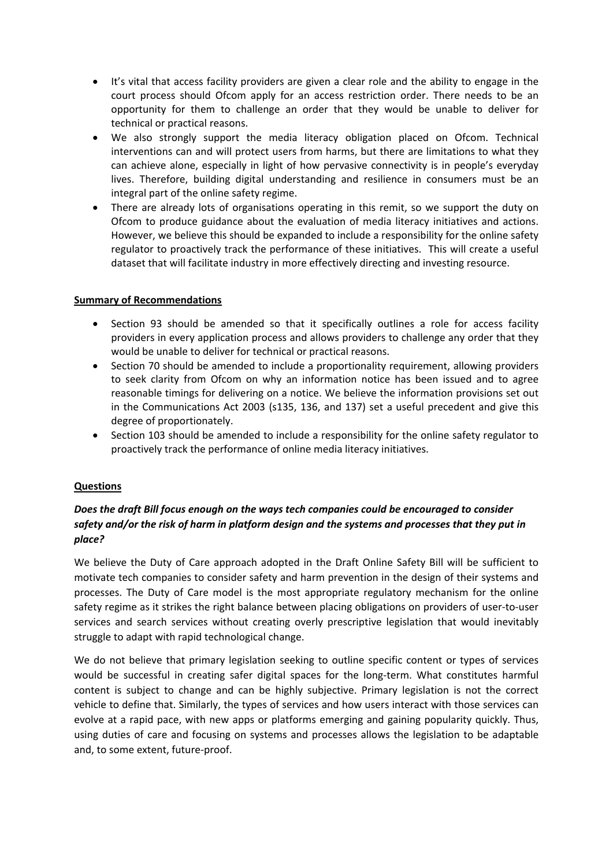- It's vital that access facility providers are given a clear role and the ability to engage in the court process should Ofcom apply for an access restriction order. There needs to be an opportunity for them to challenge an order that they would be unable to deliver for technical or practical reasons.
- We also strongly support the media literacy obligation placed on Ofcom. Technical interventions can and will protect users from harms, but there are limitations to what they can achieve alone, especially in light of how pervasive connectivity is in people's everyday lives. Therefore, building digital understanding and resilience in consumers must be an integral part of the online safety regime.
- There are already lots of organisations operating in this remit, so we support the duty on Ofcom to produce guidance about the evaluation of media literacy initiatives and actions. However, we believe this should be expanded to include a responsibility for the online safety regulator to proactively track the performance of these initiatives. This will create a useful dataset that will facilitate industry in more effectively directing and investing resource.

#### **Summary of Recommendations**

- Section 93 should be amended so that it specifically outlines a role for access facility providers in every application process and allows providers to challenge any order that they would be unable to deliver for technical or practical reasons.
- Section 70 should be amended to include a proportionality requirement, allowing providers to seek clarity from Ofcom on why an information notice has been issued and to agree reasonable timings for delivering on a notice. We believe the information provisions set out in the Communications Act 2003 (s135, 136, and 137) set a useful precedent and give this degree of proportionately.
- Section 103 should be amended to include a responsibility for the online safety regulator to proactively track the performance of online media literacy initiatives.

### **Questions**

## *Does the draft Bill focus enough on the ways tech companies could be encouraged to consider safety and/or the risk of harm in platform design and the systems and processes that they put in place?*

We believe the Duty of Care approach adopted in the Draft Online Safety Bill will be sufficient to motivate tech companies to consider safety and harm prevention in the design of their systems and processes. The Duty of Care model is the most appropriate regulatory mechanism for the online safety regime as it strikes the right balance between placing obligations on providers of user-to-user services and search services without creating overly prescriptive legislation that would inevitably struggle to adapt with rapid technological change.

We do not believe that primary legislation seeking to outline specific content or types of services would be successful in creating safer digital spaces for the long-term. What constitutes harmful content is subject to change and can be highly subjective. Primary legislation is not the correct vehicle to define that. Similarly, the types of services and how users interact with those services can evolve at a rapid pace, with new apps or platforms emerging and gaining popularity quickly. Thus, using duties of care and focusing on systems and processes allows the legislation to be adaptable and, to some extent, future-proof.